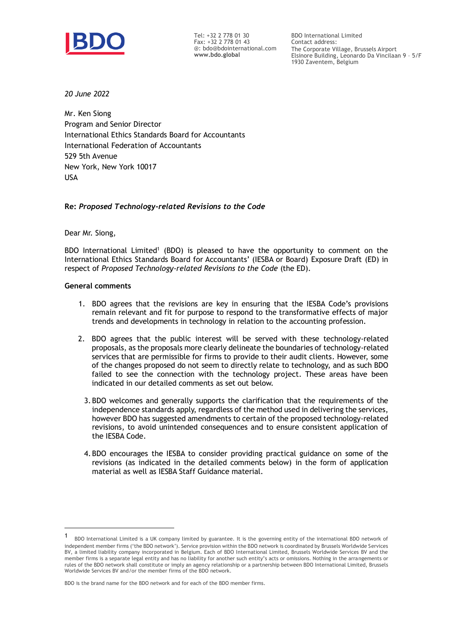

Tel: +32 2 778 01 30 Fax: +32 2 778 01 43 @: bdo@bdointernational.com **www.bdo.global**

BDO International Limited Contact address: The Corporate Village, Brussels Airport Elsinore Building, Leonardo Da Vincilaan 9 – 5/F 1930 Zaventem, Belgium

*20 June 2022*

Mr. Ken Siong Program and Senior Director International Ethics Standards Board for Accountants International Federation of Accountants 529 5th Avenue New York, New York 10017 USA

### **Re:** *Proposed Technology-related Revisions to the Code*

Dear Mr. Siong,

BDO International Limited<sup>1</sup> (BDO) is pleased to have the opportunity to comment on the International Ethics Standards Board for Accountants' (IESBA or Board) Exposure Draft (ED) in respect of *Proposed Technology-related Revisions to the Code* (the ED).

## **General comments**

- 1. BDO agrees that the revisions are key in ensuring that the IESBA Code's provisions remain relevant and fit for purpose to respond to the transformative effects of major trends and developments in technology in relation to the accounting profession.
- 2. BDO agrees that the public interest will be served with these technology-related proposals, as the proposals more clearly delineate the boundaries of technology-related services that are permissible for firms to provide to their audit clients. However, some of the changes proposed do not seem to directly relate to technology, and as such BDO failed to see the connection with the technology project. These areas have been indicated in our detailed comments as set out below.
	- 3.BDO welcomes and generally supports the clarification that the requirements of the independence standards apply, regardless of the method used in delivering the services, however BDO has suggested amendments to certain of the proposed technology-related revisions, to avoid unintended consequences and to ensure consistent application of the IESBA Code.
	- 4.BDO encourages the IESBA to consider providing practical guidance on some of the revisions (as indicated in the detailed comments below) in the form of application material as well as IESBA Staff Guidance material.

<sup>1</sup> BDO International Limited is a UK company limited by guarantee. It is the governing entity of the international BDO network of independent member firms ('the BDO network'). Service provision within the BDO network is coordinated by Brussels Worldwide Services BV, a limited liability company incorporated in Belgium. Each of BDO International Limited, Brussels Worldwide Services BV and the member firms is a separate legal entity and has no liability for another such entity's acts or omissions. Nothing in the arrangements or rules of the BDO network shall constitute or imply an agency relationship or a partnership between BDO International Limited, Brussels Worldwide Services BV and/or the member firms of the BDO network.

BDO is the brand name for the BDO network and for each of the BDO member firms.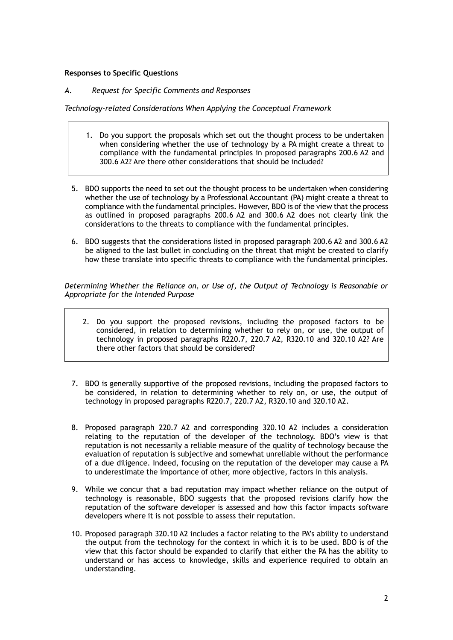# **Responses to Specific Questions**

# *A. Request for Specific Comments and Responses*

*Technology-related Considerations When Applying the Conceptual Framework*

- 1. Do you support the proposals which set out the thought process to be undertaken when considering whether the use of technology by a PA might create a threat to compliance with the fundamental principles in proposed paragraphs 200.6 A2 and 300.6 A2? Are there other considerations that should be included?
- 5. BDO supports the need to set out the thought process to be undertaken when considering whether the use of technology by a Professional Accountant (PA) might create a threat to compliance with the fundamental principles. However, BDO is of the view that the process as outlined in proposed paragraphs 200.6 A2 and 300.6 A2 does not clearly link the considerations to the threats to compliance with the fundamental principles.
- 6. BDO suggests that the considerations listed in proposed paragraph 200.6 A2 and 300.6 A2 be aligned to the last bullet in concluding on the threat that might be created to clarify how these translate into specific threats to compliance with the fundamental principles.

*Determining Whether the Reliance on, or Use of, the Output of Technology is Reasonable or Appropriate for the Intended Purpose*

- 2. Do you support the proposed revisions, including the proposed factors to be considered, in relation to determining whether to rely on, or use, the output of technology in proposed paragraphs R220.7, 220.7 A2, R320.10 and 320.10 A2? Are there other factors that should be considered?
- 7. BDO is generally supportive of the proposed revisions, including the proposed factors to be considered, in relation to determining whether to rely on, or use, the output of technology in proposed paragraphs R220.7, 220.7 A2, R320.10 and 320.10 A2.
- 8. Proposed paragraph 220.7 A2 and corresponding 320.10 A2 includes a consideration relating to the reputation of the developer of the technology. BDO's view is that reputation is not necessarily a reliable measure of the quality of technology because the evaluation of reputation is subjective and somewhat unreliable without the performance of a due diligence. Indeed, focusing on the reputation of the developer may cause a PA to underestimate the importance of other, more objective, factors in this analysis.
- 9. While we concur that a bad reputation may impact whether reliance on the output of technology is reasonable, BDO suggests that the proposed revisions clarify how the reputation of the software developer is assessed and how this factor impacts software developers where it is not possible to assess their reputation.
- 10. Proposed paragraph 320.10 A2 includes a factor relating to the PA's ability to understand the output from the technology for the context in which it is to be used. BDO is of the view that this factor should be expanded to clarify that either the PA has the ability to understand or has access to knowledge, skills and experience required to obtain an understanding.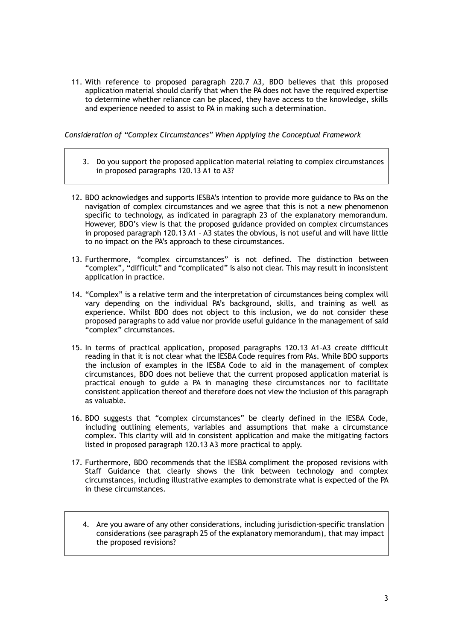11. With reference to proposed paragraph 220.7 A3, BDO believes that this proposed application material should clarify that when the PA does not have the required expertise to determine whether reliance can be placed, they have access to the knowledge, skills and experience needed to assist to PA in making such a determination.

*Consideration of "Complex Circumstances" When Applying the Conceptual Framework*

- 3. Do you support the proposed application material relating to complex circumstances in proposed paragraphs 120.13 A1 to A3?
- 12. BDO acknowledges and supports IESBA's intention to provide more guidance to PAs on the navigation of complex circumstances and we agree that this is not a new phenomenon specific to technology, as indicated in paragraph 23 of the explanatory memorandum. However, BDO's view is that the proposed guidance provided on complex circumstances in proposed paragraph 120.13 A1 – A3 states the obvious, is not useful and will have little to no impact on the PA's approach to these circumstances.
- 13. Furthermore, "complex circumstances" is not defined. The distinction between "complex", "difficult" and "complicated" is also not clear. This may result in inconsistent application in practice.
- 14. "Complex" is a relative term and the interpretation of circumstances being complex will vary depending on the individual PA's background, skills, and training as well as experience. Whilst BDO does not object to this inclusion, we do not consider these proposed paragraphs to add value nor provide useful guidance in the management of said "complex" circumstances.
- 15. In terms of practical application, proposed paragraphs 120.13 A1-A3 create difficult reading in that it is not clear what the IESBA Code requires from PAs. While BDO supports the inclusion of examples in the IESBA Code to aid in the management of complex circumstances, BDO does not believe that the current proposed application material is practical enough to guide a PA in managing these circumstances nor to facilitate consistent application thereof and therefore does not view the inclusion of this paragraph as valuable.
- 16. BDO suggests that "complex circumstances" be clearly defined in the IESBA Code, including outlining elements, variables and assumptions that make a circumstance complex. This clarity will aid in consistent application and make the mitigating factors listed in proposed paragraph 120.13 A3 more practical to apply.
- 17. Furthermore, BDO recommends that the IESBA compliment the proposed revisions with Staff Guidance that clearly shows the link between technology and complex circumstances, including illustrative examples to demonstrate what is expected of the PA in these circumstances.
	- 4. Are you aware of any other considerations, including jurisdiction-specific translation considerations (see paragraph 25 of the explanatory memorandum), that may impact the proposed revisions?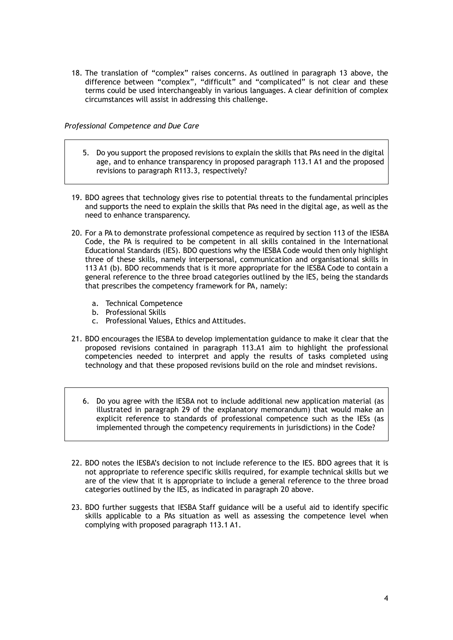18. The translation of "complex" raises concerns. As outlined in paragraph 13 above, the difference between "complex", "difficult" and "complicated" is not clear and these terms could be used interchangeably in various languages. A clear definition of complex circumstances will assist in addressing this challenge.

*Professional Competence and Due Care*

- 5. Do you support the proposed revisions to explain the skills that PAs need in the digital age, and to enhance transparency in proposed paragraph 113.1 A1 and the proposed revisions to paragraph R113.3, respectively?
- 19. BDO agrees that technology gives rise to potential threats to the fundamental principles and supports the need to explain the skills that PAs need in the digital age, as well as the need to enhance transparency.
- 20. For a PA to demonstrate professional competence as required by section 113 of the IESBA Code, the PA is required to be competent in all skills contained in the International Educational Standards (IES). BDO questions why the IESBA Code would then only highlight three of these skills, namely interpersonal, communication and organisational skills in 113 A1 (b). BDO recommends that is it more appropriate for the IESBA Code to contain a general reference to the three broad categories outlined by the IES, being the standards that prescribes the competency framework for PA, namely:
	- a. Technical Competence
	- b. Professional Skills
	- c. Professional Values, Ethics and Attitudes.
- 21. BDO encourages the IESBA to develop implementation guidance to make it clear that the proposed revisions contained in paragraph 113.A1 aim to highlight the professional competencies needed to interpret and apply the results of tasks completed using technology and that these proposed revisions build on the role and mindset revisions.
	- 6. Do you agree with the IESBA not to include additional new application material (as illustrated in paragraph 29 of the explanatory memorandum) that would make an explicit reference to standards of professional competence such as the IESs (as implemented through the competency requirements in jurisdictions) in the Code?
- 22. BDO notes the IESBA's decision to not include reference to the IES. BDO agrees that it is not appropriate to reference specific skills required, for example technical skills but we are of the view that it is appropriate to include a general reference to the three broad categories outlined by the IES, as indicated in paragraph 20 above.
- 23. BDO further suggests that IESBA Staff guidance will be a useful aid to identify specific skills applicable to a PAs situation as well as assessing the competence level when complying with proposed paragraph 113.1 A1.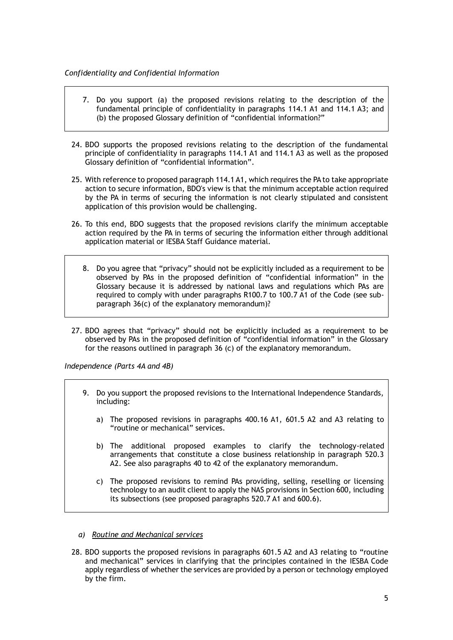- 7. Do you support (a) the proposed revisions relating to the description of the fundamental principle of confidentiality in paragraphs 114.1 A1 and 114.1 A3; and (b) the proposed Glossary definition of "confidential information?"
- 24. BDO supports the proposed revisions relating to the description of the fundamental principle of confidentiality in paragraphs 114.1 A1 and 114.1 A3 as well as the proposed Glossary definition of "confidential information".
- 25. With reference to proposed paragraph 114.1 A1, which requires the PA to take appropriate action to secure information, BDO's view is that the minimum acceptable action required by the PA in terms of securing the information is not clearly stipulated and consistent application of this provision would be challenging.
- 26. To this end, BDO suggests that the proposed revisions clarify the minimum acceptable action required by the PA in terms of securing the information either through additional application material or IESBA Staff Guidance material.
	- 8. Do you agree that "privacy" should not be explicitly included as a requirement to be observed by PAs in the proposed definition of "confidential information" in the Glossary because it is addressed by national laws and regulations which PAs are required to comply with under paragraphs R100.7 to 100.7 A1 of the Code (see subparagraph 36(c) of the explanatory memorandum)?
- 27. BDO agrees that "privacy" should not be explicitly included as a requirement to be observed by PAs in the proposed definition of "confidential information" in the Glossary for the reasons outlined in paragraph 36 (c) of the explanatory memorandum.

*Independence (Parts 4A and 4B)*

- 9. Do you support the proposed revisions to the International Independence Standards, including:
	- a) The proposed revisions in paragraphs 400.16 A1, 601.5 A2 and A3 relating to "routine or mechanical" services.
	- b) The additional proposed examples to clarify the technology-related arrangements that constitute a close business relationship in paragraph 520.3 A2. See also paragraphs 40 to 42 of the explanatory memorandum.
	- c) The proposed revisions to remind PAs providing, selling, reselling or licensing technology to an audit client to apply the NAS provisions in Section 600, including its subsections (see proposed paragraphs 520.7 A1 and 600.6).
- *a) Routine and Mechanical services*
- 28. BDO supports the proposed revisions in paragraphs 601.5 A2 and A3 relating to "routine and mechanical" services in clarifying that the principles contained in the IESBA Code apply regardless of whether the services are provided by a person or technology employed by the firm.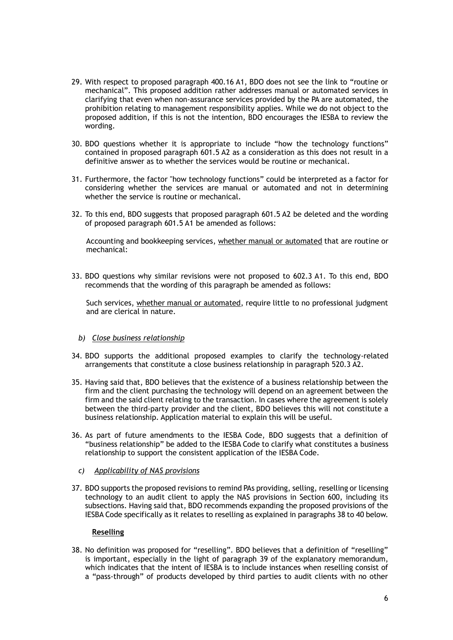- 29. With respect to proposed paragraph 400.16 A1, BDO does not see the link to "routine or mechanical". This proposed addition rather addresses manual or automated services in clarifying that even when non-assurance services provided by the PA are automated, the prohibition relating to management responsibility applies. While we do not object to the proposed addition, if this is not the intention, BDO encourages the IESBA to review the wording.
- 30. BDO questions whether it is appropriate to include "how the technology functions" contained in proposed paragraph 601.5 A2 as a consideration as this does not result in a definitive answer as to whether the services would be routine or mechanical.
- 31. Furthermore, the factor "how technology functions" could be interpreted as a factor for considering whether the services are manual or automated and not in determining whether the service is routine or mechanical.
- 32. To this end, BDO suggests that proposed paragraph 601.5 A2 be deleted and the wording of proposed paragraph 601.5 A1 be amended as follows:

Accounting and bookkeeping services, whether manual or automated that are routine or mechanical:

33. BDO questions why similar revisions were not proposed to 602.3 A1. To this end, BDO recommends that the wording of this paragraph be amended as follows:

Such services, whether manual or automated, require little to no professional judgment and are clerical in nature.

### *b) Close business relationship*

- 34. BDO supports the additional proposed examples to clarify the technology-related arrangements that constitute a close business relationship in paragraph 520.3 A2.
- 35. Having said that, BDO believes that the existence of a business relationship between the firm and the client purchasing the technology will depend on an agreement between the firm and the said client relating to the transaction. In cases where the agreement is solely between the third-party provider and the client, BDO believes this will not constitute a business relationship. Application material to explain this will be useful.
- 36. As part of future amendments to the IESBA Code, BDO suggests that a definition of "business relationship" be added to the IESBA Code to clarify what constitutes a business relationship to support the consistent application of the IESBA Code.
	- *c) Applicability of NAS provisions*
- 37. BDO supports the proposed revisions to remind PAs providing, selling, reselling or licensing technology to an audit client to apply the NAS provisions in Section 600, including its subsections. Having said that, BDO recommends expanding the proposed provisions of the IESBA Code specifically as it relates to reselling as explained in paragraphs 38 to 40 below.

#### **Reselling**

38. No definition was proposed for "reselling". BDO believes that a definition of "reselling" is important, especially in the light of paragraph 39 of the explanatory memorandum, which indicates that the intent of IESBA is to include instances when reselling consist of a "pass-through" of products developed by third parties to audit clients with no other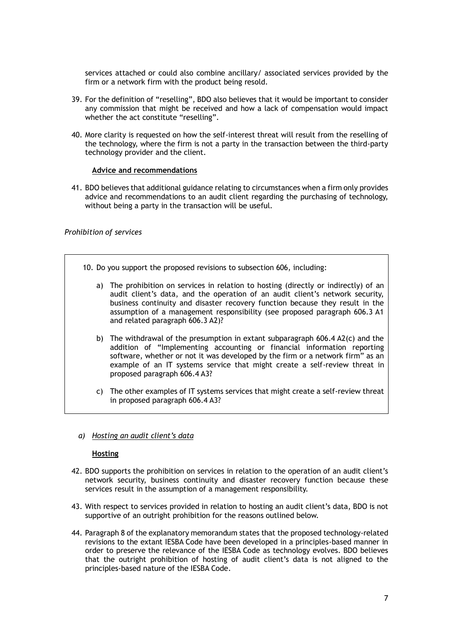services attached or could also combine ancillary/ associated services provided by the firm or a network firm with the product being resold.

- 39. For the definition of "reselling", BDO also believes that it would be important to consider any commission that might be received and how a lack of compensation would impact whether the act constitute "reselling".
- 40. More clarity is requested on how the self-interest threat will result from the reselling of the technology, where the firm is not a party in the transaction between the third-party technology provider and the client.

# **Advice and recommendations**

41. BDO believes that additional guidance relating to circumstances when a firm only provides advice and recommendations to an audit client regarding the purchasing of technology, without being a party in the transaction will be useful.

### *Prohibition of services*

- 10. Do you support the proposed revisions to subsection 606, including:
	- a) The prohibition on services in relation to hosting (directly or indirectly) of an audit client's data, and the operation of an audit client's network security, business continuity and disaster recovery function because they result in the assumption of a management responsibility (see proposed paragraph 606.3 A1 and related paragraph 606.3 A2)?
	- b) The withdrawal of the presumption in extant subparagraph 606.4 A2(c) and the addition of "Implementing accounting or financial information reporting software, whether or not it was developed by the firm or a network firm" as an example of an IT systems service that might create a self-review threat in proposed paragraph 606.4 A3?
	- c) The other examples of IT systems services that might create a self-review threat in proposed paragraph 606.4 A3?
- *a) Hosting an audit client's data*

### **Hosting**

- 42. BDO supports the prohibition on services in relation to the operation of an audit client's network security, business continuity and disaster recovery function because these services result in the assumption of a management responsibility.
- 43. With respect to services provided in relation to hosting an audit client's data, BDO is not supportive of an outright prohibition for the reasons outlined below.
- 44. Paragraph 8 of the explanatory memorandum states that the proposed technology-related revisions to the extant IESBA Code have been developed in a principles-based manner in order to preserve the relevance of the IESBA Code as technology evolves. BDO believes that the outright prohibition of hosting of audit client's data is not aligned to the principles-based nature of the IESBA Code.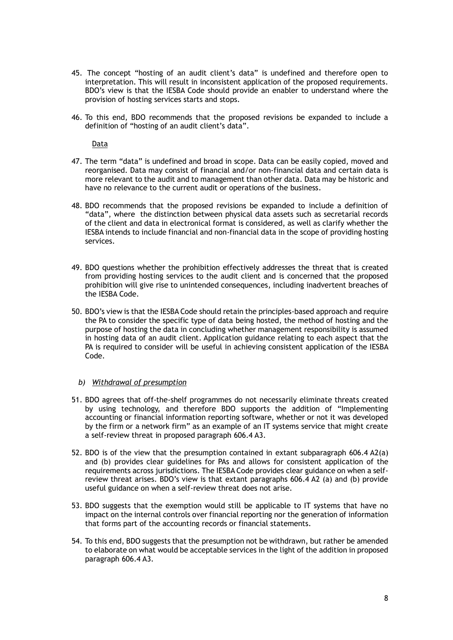- 45. The concept "hosting of an audit client's data" is undefined and therefore open to interpretation. This will result in inconsistent application of the proposed requirements. BDO's view is that the IESBA Code should provide an enabler to understand where the provision of hosting services starts and stops.
- 46. To this end, BDO recommends that the proposed revisions be expanded to include a definition of "hosting of an audit client's data".

**Data** 

- 47. The term "data" is undefined and broad in scope. Data can be easily copied, moved and reorganised. Data may consist of financial and/or non-financial data and certain data is more relevant to the audit and to management than other data. Data may be historic and have no relevance to the current audit or operations of the business.
- 48. BDO recommends that the proposed revisions be expanded to include a definition of "data", where the distinction between physical data assets such as secretarial records of the client and data in electronical format is considered, as well as clarify whether the IESBA intends to include financial and non-financial data in the scope of providing hosting services.
- 49. BDO questions whether the prohibition effectively addresses the threat that is created from providing hosting services to the audit client and is concerned that the proposed prohibition will give rise to unintended consequences, including inadvertent breaches of the IESBA Code.
- 50. BDO's view is that the IESBA Code should retain the principles-based approach and require the PA to consider the specific type of data being hosted, the method of hosting and the purpose of hosting the data in concluding whether management responsibility is assumed in hosting data of an audit client. Application guidance relating to each aspect that the PA is required to consider will be useful in achieving consistent application of the IESBA Code.

#### *b) Withdrawal of presumption*

- 51. BDO agrees that off-the-shelf programmes do not necessarily eliminate threats created by using technology, and therefore BDO supports the addition of "Implementing accounting or financial information reporting software, whether or not it was developed by the firm or a network firm" as an example of an IT systems service that might create a self-review threat in proposed paragraph 606.4 A3.
- 52. BDO is of the view that the presumption contained in extant subparagraph 606.4 A2(a) and (b) provides clear guidelines for PAs and allows for consistent application of the requirements across jurisdictions. The IESBA Code provides clear guidance on when a selfreview threat arises. BDO's view is that extant paragraphs 606.4 A2 (a) and (b) provide useful guidance on when a self-review threat does not arise.
- 53. BDO suggests that the exemption would still be applicable to IT systems that have no impact on the internal controls over financial reporting nor the generation of information that forms part of the accounting records or financial statements.
- 54. To this end, BDO suggests that the presumption not be withdrawn, but rather be amended to elaborate on what would be acceptable services in the light of the addition in proposed paragraph 606.4 A3.